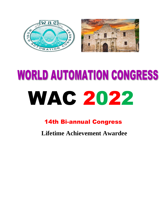



## **WORLD AUTOMATION CONGRESS** WAC 2022

## 14th Bi-annual Congress

**Lifetime Achievement Awardee**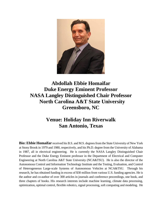

**Abdollah Ebbie Homaifar Duke Energy Eminent Professor NASA Langley Distinguished Chair Professor North Carolina A&T State University Greensboro, NC**

## **Venue: Holiday Inn Riverwalk San Antonio, Texas**

**Bio: Ebbie Homaifar** received his B.S. and M.S. degrees from the State University of New York at Stony Brook in 1979 and 1980, respectively, and his Ph.D. degree from the University of Alabama in 1987, all in electrical engineering. He is currently the NASA Langley Distinguished Chair Professor and the Duke Energy Eminent professor in the Department of Electrical and Computer Engineering at North Carolina A&T State University (NCA&TSU). He is also the director of the Autonomous Control and Information Technology Institute and the Testing, Evaluation, and Control of Heterogeneous Large-scale Systems of Autonomous Vehicles at NCA&TSU. Through his research, he has obtained funding in excess of \$30 million from various U.S. funding agencies. He is the author and co-author of over 300 articles in journals and conference proceedings, one book, and three chapters of books. His research interests include machine learning, climate data processing, optimization, optimal control, flexible robotics, signal processing, soft computing and modeling. He